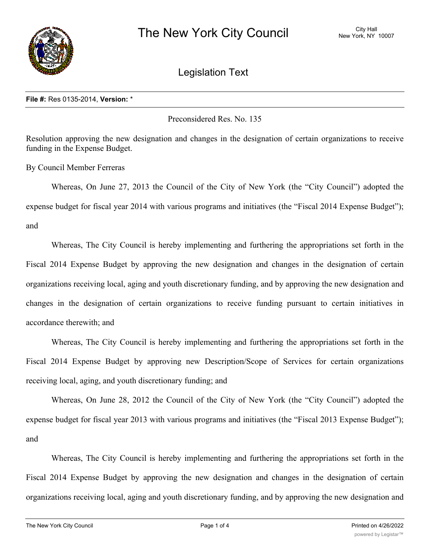

## Legislation Text

## **File #:** Res 0135-2014, **Version:** \*

Preconsidered Res. No. 135

Resolution approving the new designation and changes in the designation of certain organizations to receive funding in the Expense Budget.

By Council Member Ferreras

Whereas, On June 27, 2013 the Council of the City of New York (the "City Council") adopted the expense budget for fiscal year 2014 with various programs and initiatives (the "Fiscal 2014 Expense Budget"); and

Whereas, The City Council is hereby implementing and furthering the appropriations set forth in the Fiscal 2014 Expense Budget by approving the new designation and changes in the designation of certain organizations receiving local, aging and youth discretionary funding, and by approving the new designation and changes in the designation of certain organizations to receive funding pursuant to certain initiatives in accordance therewith; and

Whereas, The City Council is hereby implementing and furthering the appropriations set forth in the Fiscal 2014 Expense Budget by approving new Description/Scope of Services for certain organizations receiving local, aging, and youth discretionary funding; and

Whereas, On June 28, 2012 the Council of the City of New York (the "City Council") adopted the expense budget for fiscal year 2013 with various programs and initiatives (the "Fiscal 2013 Expense Budget"); and

Whereas, The City Council is hereby implementing and furthering the appropriations set forth in the Fiscal 2014 Expense Budget by approving the new designation and changes in the designation of certain organizations receiving local, aging and youth discretionary funding, and by approving the new designation and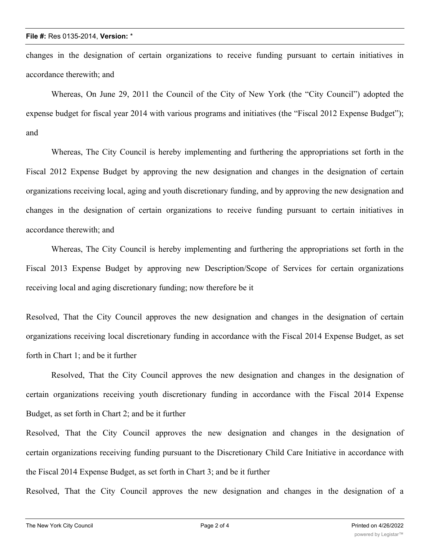changes in the designation of certain organizations to receive funding pursuant to certain initiatives in accordance therewith; and

Whereas, On June 29, 2011 the Council of the City of New York (the "City Council") adopted the expense budget for fiscal year 2014 with various programs and initiatives (the "Fiscal 2012 Expense Budget"); and

Whereas, The City Council is hereby implementing and furthering the appropriations set forth in the Fiscal 2012 Expense Budget by approving the new designation and changes in the designation of certain organizations receiving local, aging and youth discretionary funding, and by approving the new designation and changes in the designation of certain organizations to receive funding pursuant to certain initiatives in accordance therewith; and

Whereas, The City Council is hereby implementing and furthering the appropriations set forth in the Fiscal 2013 Expense Budget by approving new Description/Scope of Services for certain organizations receiving local and aging discretionary funding; now therefore be it

Resolved, That the City Council approves the new designation and changes in the designation of certain organizations receiving local discretionary funding in accordance with the Fiscal 2014 Expense Budget, as set forth in Chart 1; and be it further

Resolved, That the City Council approves the new designation and changes in the designation of certain organizations receiving youth discretionary funding in accordance with the Fiscal 2014 Expense Budget, as set forth in Chart 2; and be it further

Resolved, That the City Council approves the new designation and changes in the designation of certain organizations receiving funding pursuant to the Discretionary Child Care Initiative in accordance with the Fiscal 2014 Expense Budget, as set forth in Chart 3; and be it further

Resolved, That the City Council approves the new designation and changes in the designation of a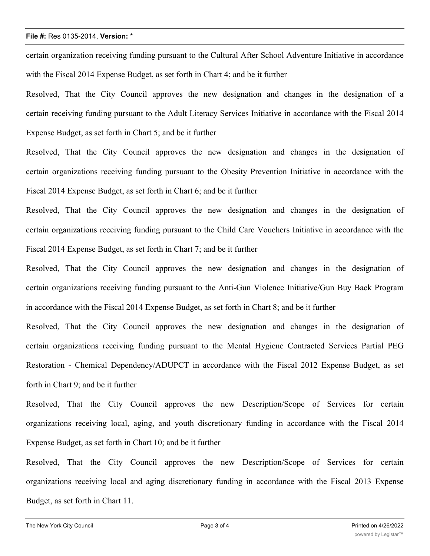## **File #:** Res 0135-2014, **Version:** \*

certain organization receiving funding pursuant to the Cultural After School Adventure Initiative in accordance with the Fiscal 2014 Expense Budget, as set forth in Chart 4; and be it further

Resolved, That the City Council approves the new designation and changes in the designation of a certain receiving funding pursuant to the Adult Literacy Services Initiative in accordance with the Fiscal 2014 Expense Budget, as set forth in Chart 5; and be it further

Resolved, That the City Council approves the new designation and changes in the designation of certain organizations receiving funding pursuant to the Obesity Prevention Initiative in accordance with the Fiscal 2014 Expense Budget, as set forth in Chart 6; and be it further

Resolved, That the City Council approves the new designation and changes in the designation of certain organizations receiving funding pursuant to the Child Care Vouchers Initiative in accordance with the Fiscal 2014 Expense Budget, as set forth in Chart 7; and be it further

Resolved, That the City Council approves the new designation and changes in the designation of certain organizations receiving funding pursuant to the Anti-Gun Violence Initiative/Gun Buy Back Program in accordance with the Fiscal 2014 Expense Budget, as set forth in Chart 8; and be it further

Resolved, That the City Council approves the new designation and changes in the designation of certain organizations receiving funding pursuant to the Mental Hygiene Contracted Services Partial PEG Restoration - Chemical Dependency/ADUPCT in accordance with the Fiscal 2012 Expense Budget, as set forth in Chart 9; and be it further

Resolved, That the City Council approves the new Description/Scope of Services for certain organizations receiving local, aging, and youth discretionary funding in accordance with the Fiscal 2014 Expense Budget, as set forth in Chart 10; and be it further

Resolved, That the City Council approves the new Description/Scope of Services for certain organizations receiving local and aging discretionary funding in accordance with the Fiscal 2013 Expense Budget, as set forth in Chart 11.